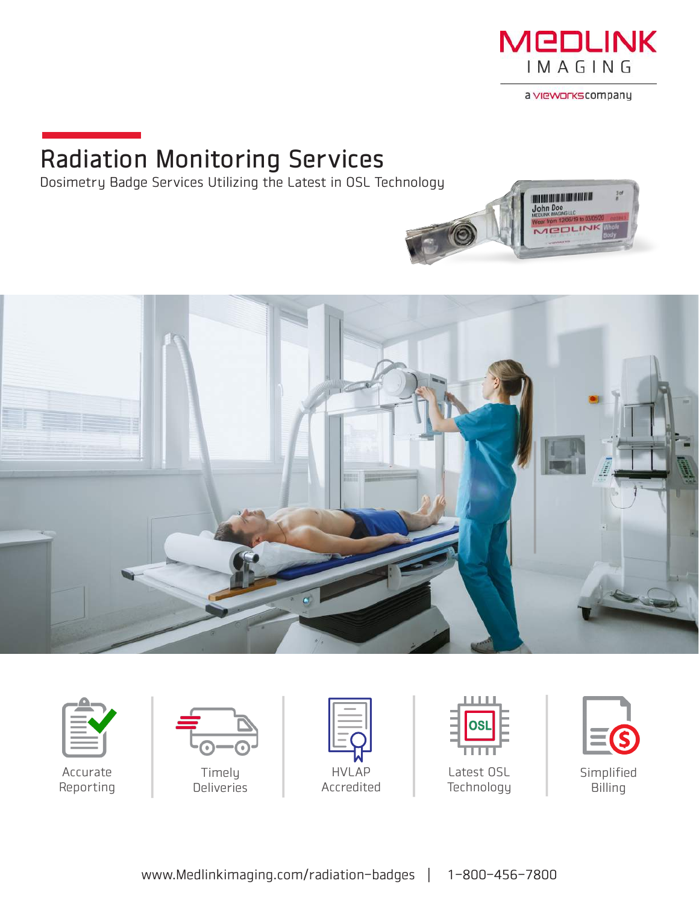

a vieworks company

**POLINE** 

<u>ana manana na m</u> **John Doe** 

## Radiation Monitoring Services

Dosimetry Badge Services Utilizing the Latest in OSL Technology